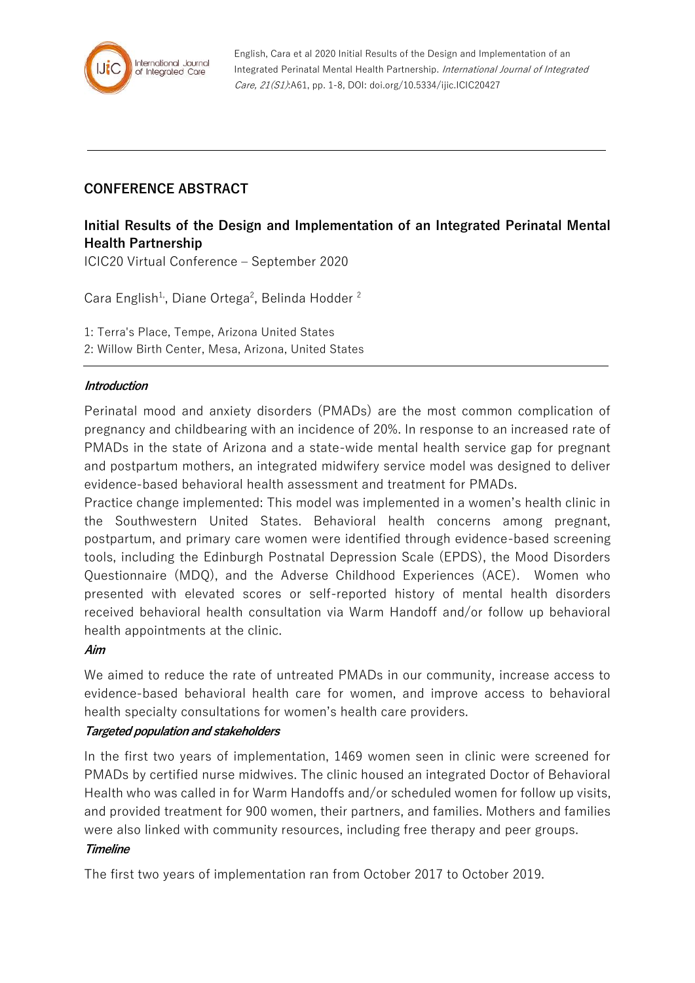

English, Cara et al 2020 Initial Results of the Design and Implementation of an Integrated Perinatal Mental Health Partnership. International Journal of Integrated Care, 21(S1):A61, pp. 1-8, DOI: doi.org/10.5334/ijic.ICIC20427

## **CONFERENCE ABSTRACT**

# **Initial Results of the Design and Implementation of an Integrated Perinatal Mental Health Partnership**

ICIC20 Virtual Conference – September 2020

Cara English<sup>1,</sup>, Diane Ortega<sup>2</sup>, Belinda Hodder<sup>2</sup>

1: Terra's Place, Tempe, Arizona United States 2: Willow Birth Center, Mesa, Arizona, United States

### **Introduction**

Perinatal mood and anxiety disorders (PMADs) are the most common complication of pregnancy and childbearing with an incidence of 20%. In response to an increased rate of PMADs in the state of Arizona and a state-wide mental health service gap for pregnant and postpartum mothers, an integrated midwifery service model was designed to deliver evidence-based behavioral health assessment and treatment for PMADs.

Practice change implemented: This model was implemented in a women's health clinic in the Southwestern United States. Behavioral health concerns among pregnant, postpartum, and primary care women were identified through evidence-based screening tools, including the Edinburgh Postnatal Depression Scale (EPDS), the Mood Disorders Questionnaire (MDQ), and the Adverse Childhood Experiences (ACE). Women who presented with elevated scores or self-reported history of mental health disorders received behavioral health consultation via Warm Handoff and/or follow up behavioral health appointments at the clinic.

### **Aim**

We aimed to reduce the rate of untreated PMADs in our community, increase access to evidence-based behavioral health care for women, and improve access to behavioral health specialty consultations for women's health care providers.

### **Targeted population and stakeholders**

In the first two years of implementation, 1469 women seen in clinic were screened for PMADs by certified nurse midwives. The clinic housed an integrated Doctor of Behavioral Health who was called in for Warm Handoffs and/or scheduled women for follow up visits, and provided treatment for 900 women, their partners, and families. Mothers and families were also linked with community resources, including free therapy and peer groups.

### **Timeline**

The first two years of implementation ran from October 2017 to October 2019.